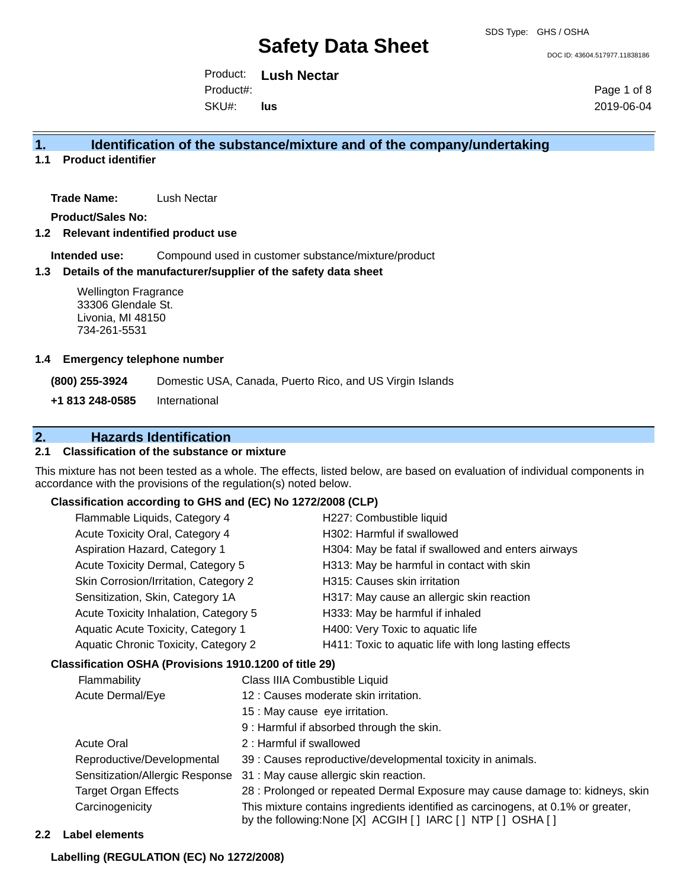DOC ID: 43604.517977.11838186

Product: **Lush Nectar** SKU#: Product#: **lus**

Page 1 of 8 2019-06-04

## **1. Identification of the substance/mixture and of the company/undertaking**

**1.1 Product identifier**

**Trade Name:** Lush Nectar

**Product/Sales No:**

**1.2 Relevant indentified product use**

**Intended use:** Compound used in customer substance/mixture/product

#### **1.3 Details of the manufacturer/supplier of the safety data sheet**

Wellington Fragrance 33306 Glendale St. Livonia, MI 48150 734-261-5531

#### **1.4 Emergency telephone number**

**(800) 255-3924** Domestic USA, Canada, Puerto Rico, and US Virgin Islands

**+1 813 248-0585** International

# **2. Hazards Identification**

## **2.1 Classification of the substance or mixture**

This mixture has not been tested as a whole. The effects, listed below, are based on evaluation of individual components in accordance with the provisions of the regulation(s) noted below.

#### **Classification according to GHS and (EC) No 1272/2008 (CLP)**

|                                                                                                                 | Flammable Liquids, Category 4                          | H227: Combustible liquid<br>H302: Harmful if swallowed |                                                                                                                        |  |
|-----------------------------------------------------------------------------------------------------------------|--------------------------------------------------------|--------------------------------------------------------|------------------------------------------------------------------------------------------------------------------------|--|
|                                                                                                                 | Acute Toxicity Oral, Category 4                        |                                                        |                                                                                                                        |  |
|                                                                                                                 | Aspiration Hazard, Category 1                          |                                                        | H304: May be fatal if swallowed and enters airways                                                                     |  |
|                                                                                                                 | Acute Toxicity Dermal, Category 5                      |                                                        | H313: May be harmful in contact with skin<br>H315: Causes skin irritation<br>H317: May cause an allergic skin reaction |  |
|                                                                                                                 | Skin Corrosion/Irritation, Category 2                  |                                                        |                                                                                                                        |  |
|                                                                                                                 | Sensitization, Skin, Category 1A                       |                                                        |                                                                                                                        |  |
|                                                                                                                 | Acute Toxicity Inhalation, Category 5                  |                                                        | H333: May be harmful if inhaled                                                                                        |  |
|                                                                                                                 | Aquatic Acute Toxicity, Category 1                     |                                                        | H400: Very Toxic to aquatic life                                                                                       |  |
|                                                                                                                 | Aquatic Chronic Toxicity, Category 2                   |                                                        | H411: Toxic to aquatic life with long lasting effects                                                                  |  |
|                                                                                                                 | Classification OSHA (Provisions 1910.1200 of title 29) |                                                        |                                                                                                                        |  |
|                                                                                                                 | Flammability<br>Acute Dermal/Eye                       |                                                        | Class IIIA Combustible Liquid                                                                                          |  |
|                                                                                                                 |                                                        |                                                        | 12 : Causes moderate skin irritation.                                                                                  |  |
|                                                                                                                 |                                                        | 15 : May cause eye irritation.                         |                                                                                                                        |  |
|                                                                                                                 | <b>Acute Oral</b><br>2: Harmful if swallowed           |                                                        | 9 : Harmful if absorbed through the skin.                                                                              |  |
|                                                                                                                 |                                                        |                                                        |                                                                                                                        |  |
| Reproductive/Developmental<br>Sensitization/Allergic Response<br><b>Target Organ Effects</b><br>Carcinogenicity |                                                        |                                                        | 39 : Causes reproductive/developmental toxicity in animals.                                                            |  |
|                                                                                                                 |                                                        |                                                        | 31 : May cause allergic skin reaction.                                                                                 |  |
|                                                                                                                 |                                                        |                                                        | 28 : Prolonged or repeated Dermal Exposure may cause damage to: kidneys, skin                                          |  |
|                                                                                                                 |                                                        |                                                        | This mixture contains ingredients identified as carcinogens, at 0.1% or greater,                                       |  |

by the following:None [X] ACGIH [ ] IARC [ ] NTP [ ] OSHA [ ]

### **2.2 Label elements**

#### **Labelling (REGULATION (EC) No 1272/2008)**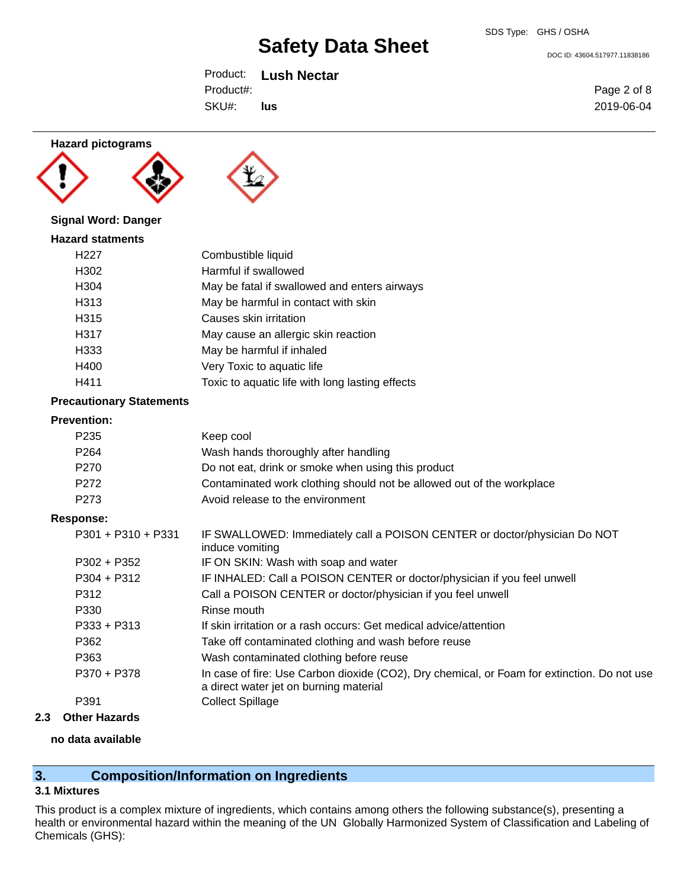DOC ID: 43604.517977.11838186

Product: **Lush Nectar** SKU#: Product#: **lus**

Page 2 of 8 2019-06-04

#### **Hazard pictograms**





# **Signal Word: Danger**

| <b>Hazard statments</b> |                                              |
|-------------------------|----------------------------------------------|
| H <sub>22</sub> 7       | Combustible liquid                           |
| H302                    | Harmful if swallowed                         |
| H304                    | May be fatal if swallowed and enters airways |
| H313                    | May be harmful in contact with skin          |
| H315                    | Causes skin irritation                       |
| H317                    | May cause an allergic skin reaction          |
| H333                    | May be harmful if inhaled                    |
| H400                    | Very Toxic to aquatic life                   |
|                         |                                              |

# H411 Toxic to aquatic life with long lasting effects

# **Precautionary Statements**

### **Prevention:**

| FIEVENHON.           |                                                                                                                                       |
|----------------------|---------------------------------------------------------------------------------------------------------------------------------------|
| P <sub>235</sub>     | Keep cool                                                                                                                             |
| P <sub>264</sub>     | Wash hands thoroughly after handling                                                                                                  |
| P <sub>270</sub>     | Do not eat, drink or smoke when using this product                                                                                    |
| P272                 | Contaminated work clothing should not be allowed out of the workplace                                                                 |
| P <sub>273</sub>     | Avoid release to the environment                                                                                                      |
| Response:            |                                                                                                                                       |
| $P301 + P310 + P331$ | IF SWALLOWED: Immediately call a POISON CENTER or doctor/physician Do NOT<br>induce vomiting                                          |
| $P302 + P352$        | IF ON SKIN: Wash with soap and water                                                                                                  |
| $P304 + P312$        | IF INHALED: Call a POISON CENTER or doctor/physician if you feel unwell                                                               |
| P312                 | Call a POISON CENTER or doctor/physician if you feel unwell                                                                           |
| P330                 | Rinse mouth                                                                                                                           |
| $P333 + P313$        | If skin irritation or a rash occurs: Get medical advice/attention                                                                     |
| P362                 | Take off contaminated clothing and wash before reuse                                                                                  |
| P363                 | Wash contaminated clothing before reuse                                                                                               |
| P370 + P378          | In case of fire: Use Carbon dioxide (CO2), Dry chemical, or Foam for extinction. Do not use<br>a direct water jet on burning material |
| P391                 | <b>Collect Spillage</b>                                                                                                               |
|                      |                                                                                                                                       |

### **2.3 Other Hazards**

#### **no data available**

# **3. Composition/Information on Ingredients**

### **3.1 Mixtures**

This product is a complex mixture of ingredients, which contains among others the following substance(s), presenting a health or environmental hazard within the meaning of the UN Globally Harmonized System of Classification and Labeling of Chemicals (GHS):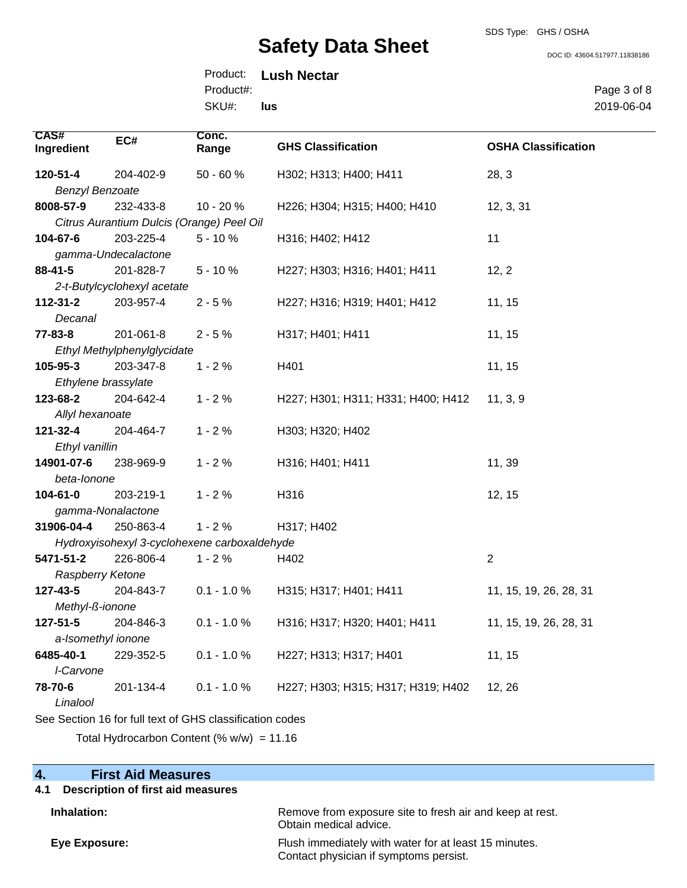SDS Type: GHS / OSHA

DOC ID: 43604.517977.11838186

Product: **Lush Nectar** SKU#: Product#: **lus**

Page 3 of 8 2019-06-04

| <b>CAS#</b><br>EC#                                       | Conc.         |                                    |                            |  |  |  |
|----------------------------------------------------------|---------------|------------------------------------|----------------------------|--|--|--|
| Ingredient                                               | Range         | <b>GHS Classification</b>          | <b>OSHA Classification</b> |  |  |  |
| 120-51-4<br>204-402-9                                    | $50 - 60%$    | H302; H313; H400; H411             | 28, 3                      |  |  |  |
| <b>Benzyl Benzoate</b>                                   |               |                                    |                            |  |  |  |
| 8008-57-9<br>232-433-8                                   | 10 - 20 %     | H226; H304; H315; H400; H410       | 12, 3, 31                  |  |  |  |
| Citrus Aurantium Dulcis (Orange) Peel Oil                |               |                                    |                            |  |  |  |
| 104-67-6<br>203-225-4                                    | $5 - 10%$     | H316; H402; H412                   | 11                         |  |  |  |
| gamma-Undecalactone                                      |               |                                    |                            |  |  |  |
| 88-41-5<br>201-828-7                                     | $5 - 10%$     | H227; H303; H316; H401; H411       | 12, 2                      |  |  |  |
| 2-t-Butylcyclohexyl acetate                              |               |                                    |                            |  |  |  |
| $112 - 31 - 2$<br>203-957-4                              | $2 - 5%$      | H227; H316; H319; H401; H412       | 11, 15                     |  |  |  |
| Decanal                                                  |               |                                    |                            |  |  |  |
| 77-83-8<br>201-061-8                                     | $2 - 5%$      | H317; H401; H411                   | 11, 15                     |  |  |  |
| Ethyl Methylphenylglycidate                              |               |                                    |                            |  |  |  |
| 105-95-3<br>203-347-8                                    | $1 - 2%$      | H401                               | 11, 15                     |  |  |  |
| Ethylene brassylate                                      |               |                                    |                            |  |  |  |
| 123-68-2<br>204-642-4                                    | $1 - 2%$      | H227; H301; H311; H331; H400; H412 | 11, 3, 9                   |  |  |  |
| Allyl hexanoate                                          |               |                                    |                            |  |  |  |
| 121-32-4<br>204-464-7                                    | $1 - 2%$      | H303; H320; H402                   |                            |  |  |  |
| Ethyl vanillin                                           |               |                                    |                            |  |  |  |
| 14901-07-6<br>238-969-9                                  | $1 - 2%$      | H316; H401; H411                   | 11, 39                     |  |  |  |
| beta-lonone                                              |               |                                    |                            |  |  |  |
| $104 - 61 - 0$<br>203-219-1                              | $1 - 2%$      | H316                               | 12, 15                     |  |  |  |
| gamma-Nonalactone                                        |               |                                    |                            |  |  |  |
| 31906-04-4<br>250-863-4                                  | $1 - 2%$      | H317; H402                         |                            |  |  |  |
| Hydroxyisohexyl 3-cyclohexene carboxaldehyde             |               |                                    |                            |  |  |  |
| 5471-51-2<br>226-806-4                                   | $1 - 2%$      | H402                               | $\overline{2}$             |  |  |  |
| Raspberry Ketone                                         |               |                                    |                            |  |  |  |
| 127-43-5<br>204-843-7                                    | $0.1 - 1.0 %$ | H315; H317; H401; H411             | 11, 15, 19, 26, 28, 31     |  |  |  |
| Methyl-ß-ionone                                          |               |                                    |                            |  |  |  |
| 127-51-5<br>204-846-3                                    | $0.1 - 1.0 %$ | H316; H317; H320; H401; H411       | 11, 15, 19, 26, 28, 31     |  |  |  |
| a-Isomethyl ionone                                       |               |                                    |                            |  |  |  |
| 6485-40-1<br>229-352-5                                   | $0.1 - 1.0 %$ | H227; H313; H317; H401             | 11, 15                     |  |  |  |
| I-Carvone                                                |               |                                    |                            |  |  |  |
| 78-70-6<br>201-134-4<br>Linalool                         | $0.1 - 1.0 %$ | H227; H303; H315; H317; H319; H402 | 12, 26                     |  |  |  |
| See Section 16 for full text of GHS classification codes |               |                                    |                            |  |  |  |

Total Hydrocarbon Content (%  $w/w$ ) = 11.16

## **4. First Aid Measures**

#### **4.1 Description of first aid measures**

**Inhalation:** Remove from exposure site to fresh air and keep at rest. Obtain medical advice.

**Eye Exposure:** Flush immediately with water for at least 15 minutes. Contact physician if symptoms persist.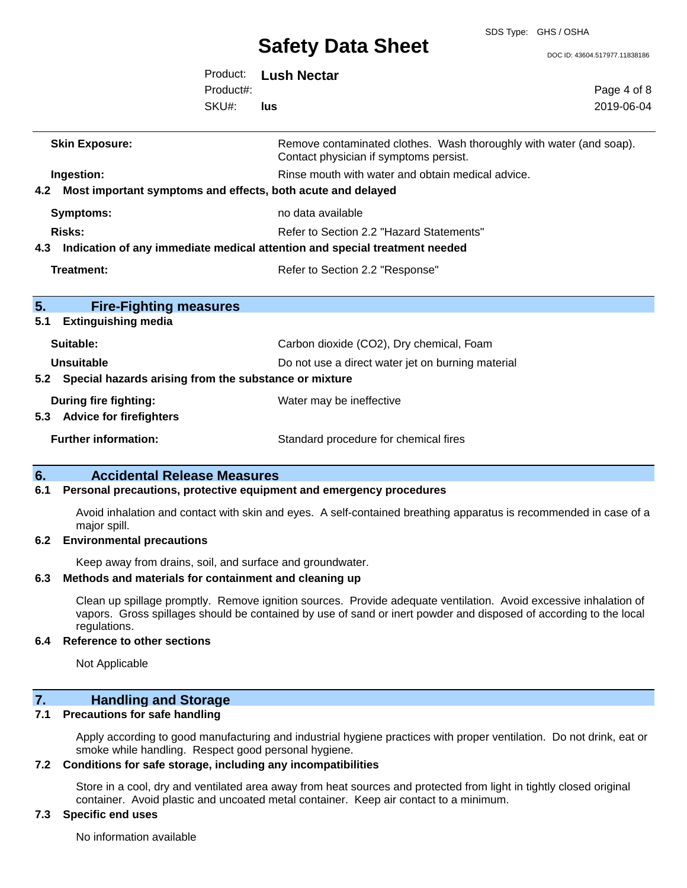SDS Type: GHS / OSHA

DOC ID: 43604.517977.11838186

|           |                                                                               | Product:<br>Product#:<br>SKU#: | <b>Lush Nectar</b><br>lus                                                                                                  | Page 4 of 8<br>2019-06-04 |
|-----------|-------------------------------------------------------------------------------|--------------------------------|----------------------------------------------------------------------------------------------------------------------------|---------------------------|
|           | <b>Skin Exposure:</b>                                                         |                                | Remove contaminated clothes. Wash thoroughly with water (and soap).<br>Contact physician if symptoms persist.              |                           |
|           | Ingestion:<br>4.2 Most important symptoms and effects, both acute and delayed |                                | Rinse mouth with water and obtain medical advice.                                                                          |                           |
|           | <b>Symptoms:</b>                                                              |                                | no data available                                                                                                          |                           |
|           | <b>Risks:</b>                                                                 |                                | Refer to Section 2.2 "Hazard Statements"<br>4.3 Indication of any immediate medical attention and special treatment needed |                           |
|           | Treatment:                                                                    |                                | Refer to Section 2.2 "Response"                                                                                            |                           |
| 5.<br>5.1 | <b>Fire-Fighting measures</b><br><b>Extinguishing media</b>                   |                                |                                                                                                                            |                           |
|           | Suitable:                                                                     |                                | Carbon dioxide (CO2), Dry chemical, Foam                                                                                   |                           |
|           | Unsuitable<br>5.2 Special hazards arising from the substance or mixture       |                                | Do not use a direct water jet on burning material                                                                          |                           |
|           | <b>During fire fighting:</b><br>5.3 Advice for firefighters                   |                                | Water may be ineffective                                                                                                   |                           |
|           | <b>Further information:</b>                                                   |                                | Standard procedure for chemical fires                                                                                      |                           |

# **6. Accidental Release Measures**

#### **6.1 Personal precautions, protective equipment and emergency procedures**

Avoid inhalation and contact with skin and eyes. A self-contained breathing apparatus is recommended in case of a major spill.

#### **6.2 Environmental precautions**

Keep away from drains, soil, and surface and groundwater.

#### **6.3 Methods and materials for containment and cleaning up**

Clean up spillage promptly. Remove ignition sources. Provide adequate ventilation. Avoid excessive inhalation of vapors. Gross spillages should be contained by use of sand or inert powder and disposed of according to the local regulations.

#### **6.4 Reference to other sections**

Not Applicable

# **7. Handling and Storage**

## **7.1 Precautions for safe handling**

Apply according to good manufacturing and industrial hygiene practices with proper ventilation. Do not drink, eat or smoke while handling. Respect good personal hygiene.

#### **7.2 Conditions for safe storage, including any incompatibilities**

Store in a cool, dry and ventilated area away from heat sources and protected from light in tightly closed original container. Avoid plastic and uncoated metal container. Keep air contact to a minimum.

## **7.3 Specific end uses**

No information available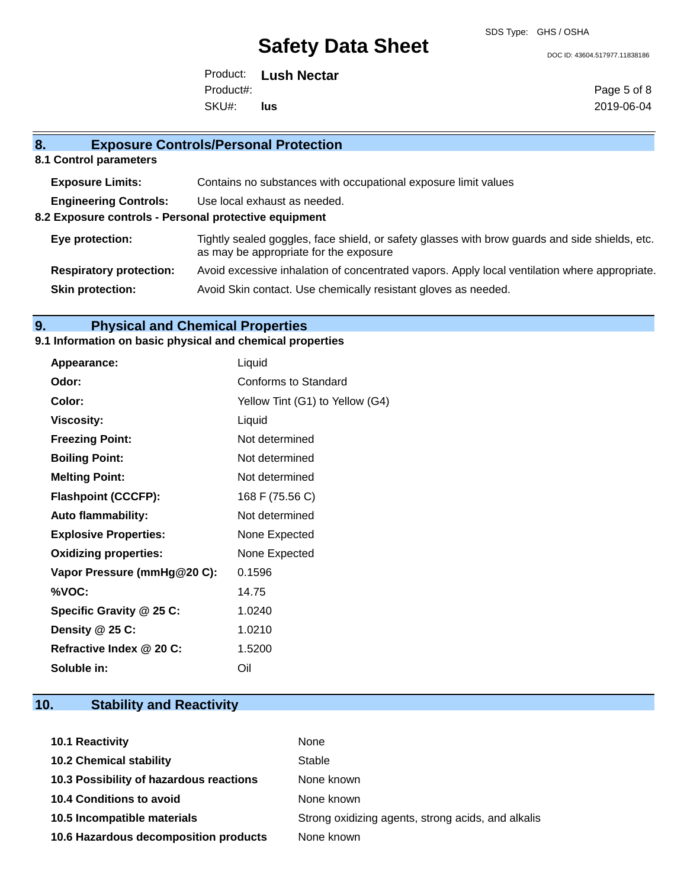SDS Type: GHS / OSHA

DOC ID: 43604.517977.11838186

Product: **Lush Nectar** SKU#: Product#: **lus**

Page 5 of 8 2019-06-04

# **8. Exposure Controls/Personal Protection 8.1 Control parameters Exposure Limits:** Contains no substances with occupational exposure limit values **Engineering Controls:** Use local exhaust as needed.

**8.2 Exposure controls - Personal protective equipment**

- **Eye protection:** Tightly sealed goggles, face shield, or safety glasses with brow guards and side shields, etc. as may be appropriate for the exposure
- **Respiratory protection:** Avoid excessive inhalation of concentrated vapors. Apply local ventilation where appropriate.
- **Skin protection:** Avoid Skin contact. Use chemically resistant gloves as needed.

# **9. Physical and Chemical Properties**

### **9.1 Information on basic physical and chemical properties**

| Appearance:                  | Liquid                          |
|------------------------------|---------------------------------|
| Odor:                        | Conforms to Standard            |
| Color:                       | Yellow Tint (G1) to Yellow (G4) |
| <b>Viscosity:</b>            | Liquid                          |
| <b>Freezing Point:</b>       | Not determined                  |
| <b>Boiling Point:</b>        | Not determined                  |
| <b>Melting Point:</b>        | Not determined                  |
| <b>Flashpoint (CCCFP):</b>   | 168 F (75.56 C)                 |
| <b>Auto flammability:</b>    | Not determined                  |
| <b>Explosive Properties:</b> | None Expected                   |
| <b>Oxidizing properties:</b> | None Expected                   |
| Vapor Pressure (mmHg@20 C):  | 0.1596                          |
| %VOC:                        | 14.75                           |
| Specific Gravity @ 25 C:     | 1.0240                          |
| Density $@25C$ :             | 1.0210                          |
| Refractive Index @ 20 C:     | 1.5200                          |
| Soluble in:                  | Oil                             |

# **10. Stability and Reactivity**

| <b>10.1 Reactivity</b>                  | None                                               |
|-----------------------------------------|----------------------------------------------------|
| <b>10.2 Chemical stability</b>          | Stable                                             |
| 10.3 Possibility of hazardous reactions | None known                                         |
| <b>10.4 Conditions to avoid</b>         | None known                                         |
| 10.5 Incompatible materials             | Strong oxidizing agents, strong acids, and alkalis |
| 10.6 Hazardous decomposition products   | None known                                         |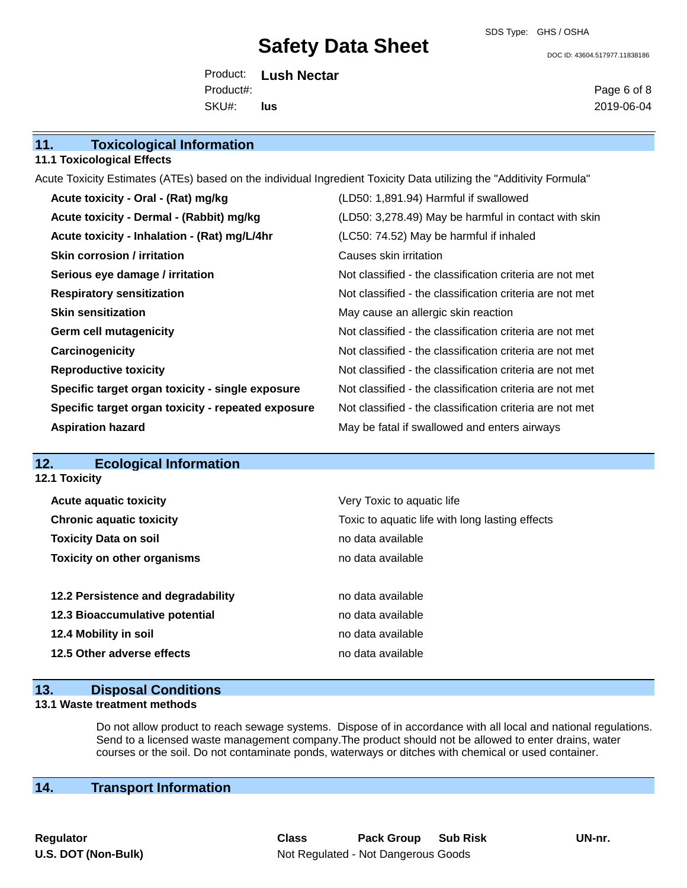SDS Type: GHS / OSHA

DOC ID: 43604.517977.11838186

Product: **Lush Nectar** SKU#: Product#: **lus**

Page 6 of 8 2019-06-04

|                                                                                                                     | <b>11.1 Toxicological Effects</b>                  |                                                          |  |
|---------------------------------------------------------------------------------------------------------------------|----------------------------------------------------|----------------------------------------------------------|--|
| Acute Toxicity Estimates (ATEs) based on the individual Ingredient Toxicity Data utilizing the "Additivity Formula" |                                                    |                                                          |  |
|                                                                                                                     | Acute toxicity - Oral - (Rat) mg/kg                | (LD50: 1,891.94) Harmful if swallowed                    |  |
|                                                                                                                     | Acute toxicity - Dermal - (Rabbit) mg/kg           | (LD50: 3,278.49) May be harmful in contact with skin     |  |
|                                                                                                                     | Acute toxicity - Inhalation - (Rat) mg/L/4hr       | (LC50: 74.52) May be harmful if inhaled                  |  |
|                                                                                                                     | <b>Skin corrosion / irritation</b>                 | Causes skin irritation                                   |  |
|                                                                                                                     | Serious eye damage / irritation                    | Not classified - the classification criteria are not met |  |
|                                                                                                                     | <b>Respiratory sensitization</b>                   | Not classified - the classification criteria are not met |  |
|                                                                                                                     | <b>Skin sensitization</b>                          | May cause an allergic skin reaction                      |  |
|                                                                                                                     | <b>Germ cell mutagenicity</b>                      | Not classified - the classification criteria are not met |  |
|                                                                                                                     | Carcinogenicity                                    | Not classified - the classification criteria are not met |  |
|                                                                                                                     | <b>Reproductive toxicity</b>                       | Not classified - the classification criteria are not met |  |
|                                                                                                                     | Specific target organ toxicity - single exposure   | Not classified - the classification criteria are not met |  |
|                                                                                                                     | Specific target organ toxicity - repeated exposure | Not classified - the classification criteria are not met |  |
|                                                                                                                     | <b>Aspiration hazard</b>                           | May be fatal if swallowed and enters airways             |  |
|                                                                                                                     |                                                    |                                                          |  |

# **12. Ecological Information**

**12.1 Toxicity**

**11. Toxicological Information**

| <b>Acute aquatic toxicity</b>      | Very Toxic to aquatic life                      |
|------------------------------------|-------------------------------------------------|
| <b>Chronic aquatic toxicity</b>    | Toxic to aquatic life with long lasting effects |
| <b>Toxicity Data on soil</b>       | no data available                               |
| <b>Toxicity on other organisms</b> | no data available                               |
| 12.2 Persistence and degradability | no data available                               |
| 12.3 Bioaccumulative potential     | no data available                               |
| 12.4 Mobility in soil              | no data available                               |
| 12.5 Other adverse effects         | no data available                               |

## **13. Disposal Conditions**

#### **13.1 Waste treatment methods**

Do not allow product to reach sewage systems. Dispose of in accordance with all local and national regulations. Send to a licensed waste management company.The product should not be allowed to enter drains, water courses or the soil. Do not contaminate ponds, waterways or ditches with chemical or used container.

# **14. Transport Information**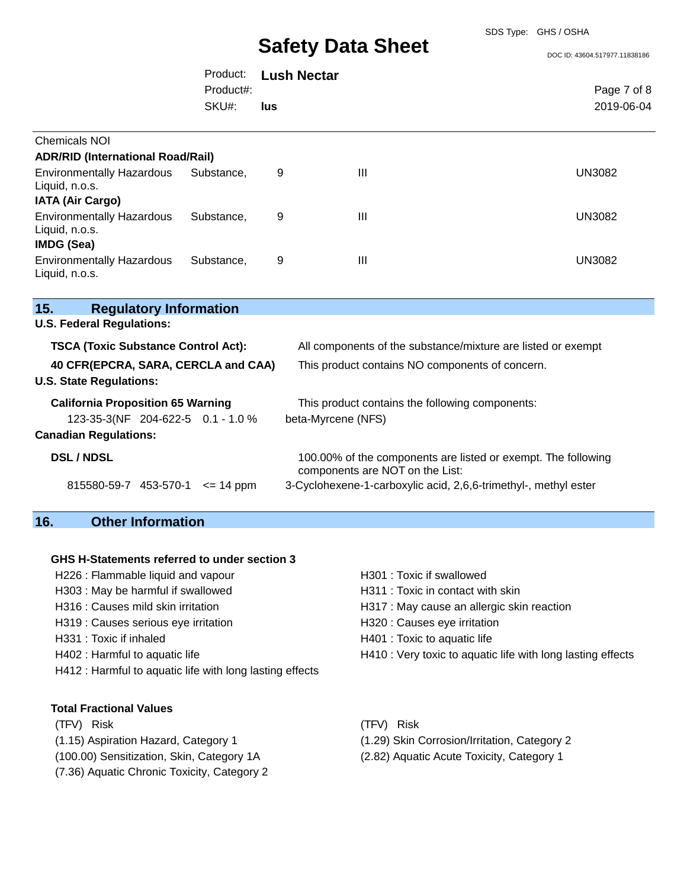SDS Type: GHS / OSHA

|                                                                               |               |                    |                                                                                                  | DOC ID: 43604.517977.11838186 |
|-------------------------------------------------------------------------------|---------------|--------------------|--------------------------------------------------------------------------------------------------|-------------------------------|
|                                                                               | Product:      | <b>Lush Nectar</b> |                                                                                                  |                               |
|                                                                               | Product#:     |                    |                                                                                                  | Page 7 of 8                   |
|                                                                               | SKU#:         | lus                |                                                                                                  | 2019-06-04                    |
| <b>Chemicals NOI</b>                                                          |               |                    |                                                                                                  |                               |
| <b>ADR/RID (International Road/Rail)</b>                                      |               |                    |                                                                                                  |                               |
| <b>Environmentally Hazardous</b><br>Liquid, n.o.s.<br><b>IATA (Air Cargo)</b> | Substance,    | 9                  | Ш                                                                                                | <b>UN3082</b>                 |
| <b>Environmentally Hazardous</b><br>Liquid, n.o.s.<br><b>IMDG (Sea)</b>       | Substance,    | 9                  | III                                                                                              | <b>UN3082</b>                 |
| <b>Environmentally Hazardous</b><br>Liquid, n.o.s.                            | Substance,    | 9                  | Ш                                                                                                | <b>UN3082</b>                 |
| 15.<br><b>Regulatory Information</b>                                          |               |                    |                                                                                                  |                               |
| <b>U.S. Federal Regulations:</b>                                              |               |                    |                                                                                                  |                               |
| <b>TSCA (Toxic Substance Control Act):</b>                                    |               |                    | All components of the substance/mixture are listed or exempt                                     |                               |
| 40 CFR(EPCRA, SARA, CERCLA and CAA)<br><b>U.S. State Regulations:</b>         |               |                    | This product contains NO components of concern.                                                  |                               |
| <b>California Proposition 65 Warning</b><br>123-35-3(NF 204-622-5 0.1 - 1.0 % |               |                    | This product contains the following components:<br>beta-Myrcene (NFS)                            |                               |
| <b>Canadian Regulations:</b>                                                  |               |                    |                                                                                                  |                               |
| <b>DSL/NDSL</b>                                                               |               |                    | 100.00% of the components are listed or exempt. The following<br>components are NOT on the List: |                               |
| 815580-59-7 453-570-1                                                         | $\leq$ 14 ppm |                    | 3-Cyclohexene-1-carboxylic acid, 2,6,6-trimethyl-, methyl ester                                  |                               |

## **16. Other Information**

**15.** 

#### **GHS H-Statements referred to under section 3**

- H226 : Flammable liquid and vapour H301 : Toxic if swallowed H303 : May be harmful if swallowed H311 : Toxic in contact with skin H319 : Causes serious eye irritation H320 : Causes eye irritation H331 : Toxic if inhaled H331 : Toxic to aquatic life H412 : Harmful to aquatic life with long lasting effects
	-
	-
- H316 : Causes mild skin irritation **H**317 : May cause an allergic skin reaction
	-
	-
- H402 : Harmful to aquatic life **H410** : Very toxic to aquatic life with long lasting effects
- **Total Fractional Values**

(TFV) Risk (TFV) Risk

- (100.00) Sensitization, Skin, Category 1A (2.82) Aquatic Acute Toxicity, Category 1
- (7.36) Aquatic Chronic Toxicity, Category 2
- 
- (1.15) Aspiration Hazard, Category 1 (1.29) Skin Corrosion/Irritation, Category 2
	-